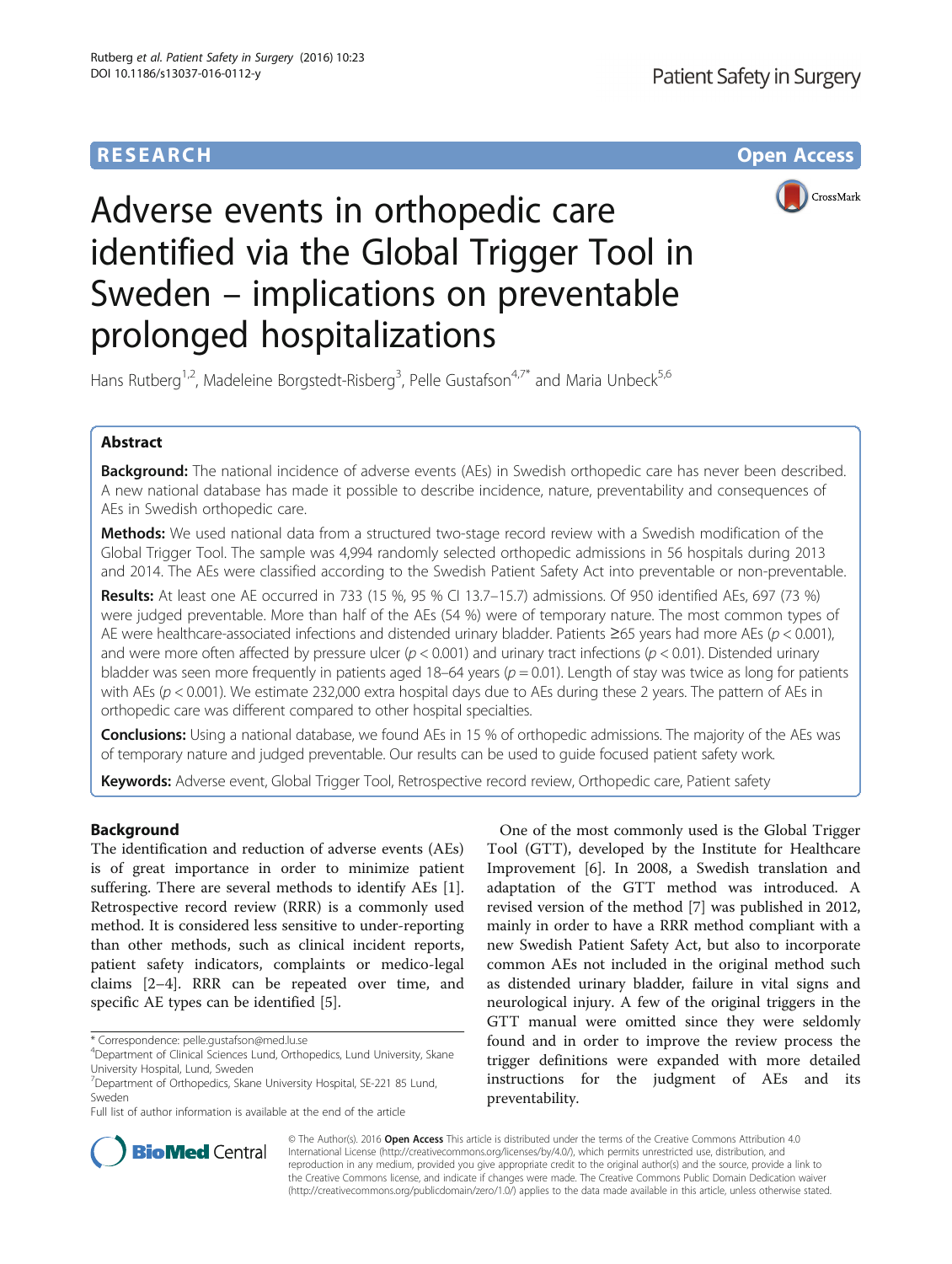# **RESEARCH CHE Open Access**



# Adverse events in orthopedic care identified via the Global Trigger Tool in Sweden – implications on preventable prolonged hospitalizations

Hans Rutberg<sup>1,2</sup>, Madeleine Borgstedt-Risberg<sup>3</sup>, Pelle Gustafson<sup>4,7\*</sup> and Maria Unbeck<sup>5,6</sup>

## Abstract

Background: The national incidence of adverse events (AEs) in Swedish orthopedic care has never been described. A new national database has made it possible to describe incidence, nature, preventability and consequences of AEs in Swedish orthopedic care.

**Methods:** We used national data from a structured two-stage record review with a Swedish modification of the Global Trigger Tool. The sample was 4,994 randomly selected orthopedic admissions in 56 hospitals during 2013 and 2014. The AEs were classified according to the Swedish Patient Safety Act into preventable or non-preventable.

Results: At least one AE occurred in 733 (15 %, 95 % CI 13.7–15.7) admissions. Of 950 identified AEs, 697 (73 %) were judged preventable. More than half of the AEs (54 %) were of temporary nature. The most common types of AE were healthcare-associated infections and distended urinary bladder. Patients ≥65 years had more AEs ( $p < 0.001$ ), and were more often affected by pressure ulcer ( $p < 0.001$ ) and urinary tract infections ( $p < 0.01$ ). Distended urinary bladder was seen more frequently in patients aged 18–64 years ( $p = 0.01$ ). Length of stay was twice as long for patients with AEs ( $p$  < 0.001). We estimate 232,000 extra hospital days due to AEs during these 2 years. The pattern of AEs in orthopedic care was different compared to other hospital specialties.

Conclusions: Using a national database, we found AEs in 15 % of orthopedic admissions. The majority of the AEs was of temporary nature and judged preventable. Our results can be used to guide focused patient safety work.

Keywords: Adverse event, Global Trigger Tool, Retrospective record review, Orthopedic care, Patient safety

### Background

The identification and reduction of adverse events (AEs) is of great importance in order to minimize patient suffering. There are several methods to identify AEs [\[1](#page-7-0)]. Retrospective record review (RRR) is a commonly used method. It is considered less sensitive to under-reporting than other methods, such as clinical incident reports, patient safety indicators, complaints or medico-legal claims [\[2](#page-7-0)–[4](#page-7-0)]. RRR can be repeated over time, and specific AE types can be identified [\[5](#page-7-0)].

One of the most commonly used is the Global Trigger Tool (GTT), developed by the Institute for Healthcare Improvement [[6\]](#page-7-0). In 2008, a Swedish translation and adaptation of the GTT method was introduced. A revised version of the method [[7\]](#page-7-0) was published in 2012, mainly in order to have a RRR method compliant with a new Swedish Patient Safety Act, but also to incorporate common AEs not included in the original method such as distended urinary bladder, failure in vital signs and neurological injury. A few of the original triggers in the GTT manual were omitted since they were seldomly found and in order to improve the review process the trigger definitions were expanded with more detailed instructions for the judgment of AEs and its preventability.



© The Author(s). 2016 Open Access This article is distributed under the terms of the Creative Commons Attribution 4.0 International License [\(http://creativecommons.org/licenses/by/4.0/](http://creativecommons.org/licenses/by/4.0/)), which permits unrestricted use, distribution, and reproduction in any medium, provided you give appropriate credit to the original author(s) and the source, provide a link to the Creative Commons license, and indicate if changes were made. The Creative Commons Public Domain Dedication waiver [\(http://creativecommons.org/publicdomain/zero/1.0/](http://creativecommons.org/publicdomain/zero/1.0/)) applies to the data made available in this article, unless otherwise stated.

<sup>\*</sup> Correspondence: [pelle.gustafson@med.lu.se](mailto:pelle.gustafson@med.lu.se) <sup>4</sup>

Department of Clinical Sciences Lund, Orthopedics, Lund University, Skane University Hospital, Lund, Sweden

<sup>&</sup>lt;sup>7</sup> Department of Orthopedics, Skane University Hospital, SE-221 85 Lund, Sweden

Full list of author information is available at the end of the article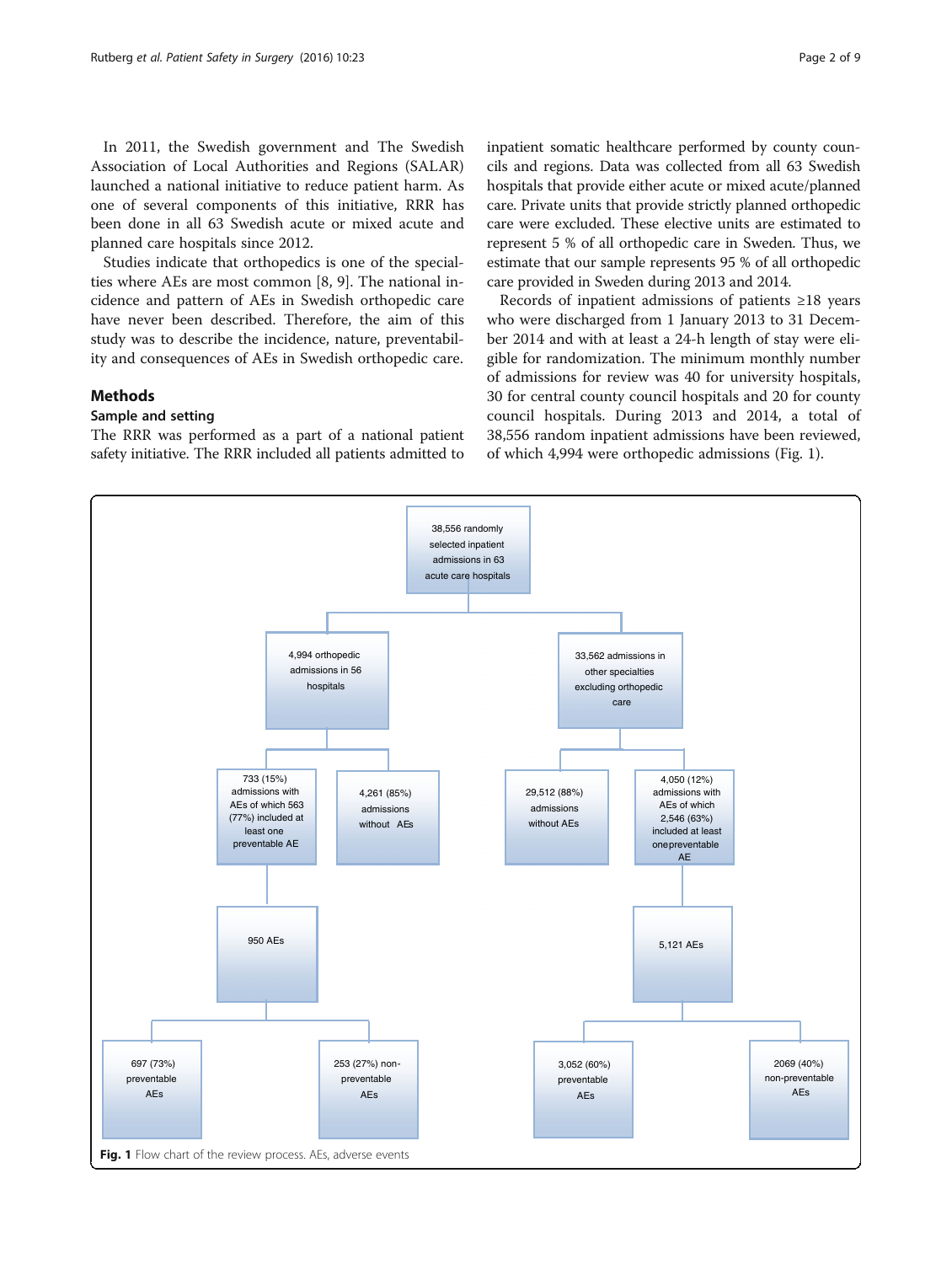<span id="page-1-0"></span>In 2011, the Swedish government and The Swedish Association of Local Authorities and Regions (SALAR) launched a national initiative to reduce patient harm. As one of several components of this initiative, RRR has been done in all 63 Swedish acute or mixed acute and planned care hospitals since 2012.

Studies indicate that orthopedics is one of the specialties where AEs are most common [\[8, 9\]](#page-7-0). The national incidence and pattern of AEs in Swedish orthopedic care have never been described. Therefore, the aim of this study was to describe the incidence, nature, preventability and consequences of AEs in Swedish orthopedic care.

#### Methods

#### Sample and setting

The RRR was performed as a part of a national patient safety initiative. The RRR included all patients admitted to

inpatient somatic healthcare performed by county councils and regions. Data was collected from all 63 Swedish hospitals that provide either acute or mixed acute/planned care. Private units that provide strictly planned orthopedic care were excluded. These elective units are estimated to represent 5 % of all orthopedic care in Sweden. Thus, we estimate that our sample represents 95 % of all orthopedic care provided in Sweden during 2013 and 2014.

Records of inpatient admissions of patients ≥18 years who were discharged from 1 January 2013 to 31 December 2014 and with at least a 24-h length of stay were eligible for randomization. The minimum monthly number of admissions for review was 40 for university hospitals, 30 for central county council hospitals and 20 for county council hospitals. During 2013 and 2014, a total of 38,556 random inpatient admissions have been reviewed, of which 4,994 were orthopedic admissions (Fig. 1).

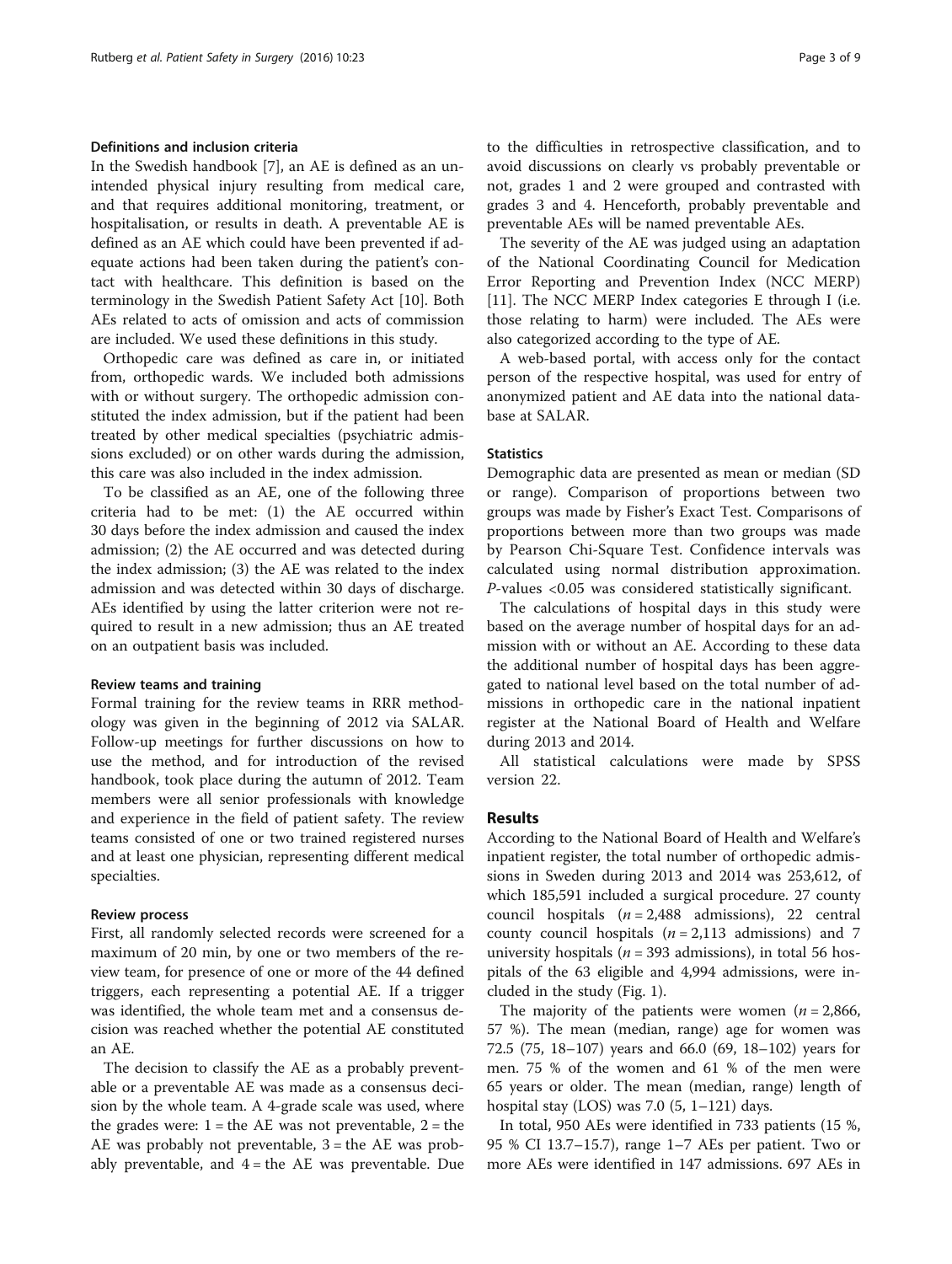#### Definitions and inclusion criteria

In the Swedish handbook [[7](#page-7-0)], an AE is defined as an unintended physical injury resulting from medical care, and that requires additional monitoring, treatment, or hospitalisation, or results in death. A preventable AE is defined as an AE which could have been prevented if adequate actions had been taken during the patient's contact with healthcare. This definition is based on the terminology in the Swedish Patient Safety Act [[10\]](#page-7-0). Both AEs related to acts of omission and acts of commission are included. We used these definitions in this study.

Orthopedic care was defined as care in, or initiated from, orthopedic wards. We included both admissions with or without surgery. The orthopedic admission constituted the index admission, but if the patient had been treated by other medical specialties (psychiatric admissions excluded) or on other wards during the admission, this care was also included in the index admission.

To be classified as an AE, one of the following three criteria had to be met: (1) the AE occurred within 30 days before the index admission and caused the index admission; (2) the AE occurred and was detected during the index admission; (3) the AE was related to the index admission and was detected within 30 days of discharge. AEs identified by using the latter criterion were not required to result in a new admission; thus an AE treated on an outpatient basis was included.

#### Review teams and training

Formal training for the review teams in RRR methodology was given in the beginning of 2012 via SALAR. Follow-up meetings for further discussions on how to use the method, and for introduction of the revised handbook, took place during the autumn of 2012. Team members were all senior professionals with knowledge and experience in the field of patient safety. The review teams consisted of one or two trained registered nurses and at least one physician, representing different medical specialties.

#### Review process

First, all randomly selected records were screened for a maximum of 20 min, by one or two members of the review team, for presence of one or more of the 44 defined triggers, each representing a potential AE. If a trigger was identified, the whole team met and a consensus decision was reached whether the potential AE constituted an AE.

The decision to classify the AE as a probably preventable or a preventable AE was made as a consensus decision by the whole team. A 4-grade scale was used, where the grades were:  $1 =$  the AE was not preventable,  $2 =$  the AE was probably not preventable,  $3 =$  the AE was probably preventable, and  $4 =$  the AE was preventable. Due to the difficulties in retrospective classification, and to avoid discussions on clearly vs probably preventable or not, grades 1 and 2 were grouped and contrasted with grades 3 and 4. Henceforth, probably preventable and preventable AEs will be named preventable AEs.

The severity of the AE was judged using an adaptation of the National Coordinating Council for Medication Error Reporting and Prevention Index (NCC MERP) [[11\]](#page-7-0). The NCC MERP Index categories E through I (i.e. those relating to harm) were included. The AEs were also categorized according to the type of AE.

A web-based portal, with access only for the contact person of the respective hospital, was used for entry of anonymized patient and AE data into the national database at SALAR.

#### **Statistics**

Demographic data are presented as mean or median (SD or range). Comparison of proportions between two groups was made by Fisher's Exact Test. Comparisons of proportions between more than two groups was made by Pearson Chi-Square Test. Confidence intervals was calculated using normal distribution approximation. P-values <0.05 was considered statistically significant.

The calculations of hospital days in this study were based on the average number of hospital days for an admission with or without an AE. According to these data the additional number of hospital days has been aggregated to national level based on the total number of admissions in orthopedic care in the national inpatient register at the National Board of Health and Welfare during 2013 and 2014.

All statistical calculations were made by SPSS version 22.

#### Results

According to the National Board of Health and Welfare's inpatient register, the total number of orthopedic admissions in Sweden during 2013 and 2014 was 253,612, of which 185,591 included a surgical procedure. 27 county council hospitals  $(n = 2,488$  admissions), 22 central county council hospitals  $(n = 2,113$  admissions) and 7 university hospitals ( $n = 393$  admissions), in total 56 hospitals of the 63 eligible and 4,994 admissions, were included in the study (Fig. [1\)](#page-1-0).

The majority of the patients were women ( $n = 2,866$ , 57 %). The mean (median, range) age for women was 72.5 (75, 18–107) years and 66.0 (69, 18–102) years for men. 75 % of the women and 61 % of the men were 65 years or older. The mean (median, range) length of hospital stay (LOS) was 7.0  $(5, 1-121)$  days.

In total, 950 AEs were identified in 733 patients (15 %, 95 % CI 13.7–15.7), range 1–7 AEs per patient. Two or more AEs were identified in 147 admissions. 697 AEs in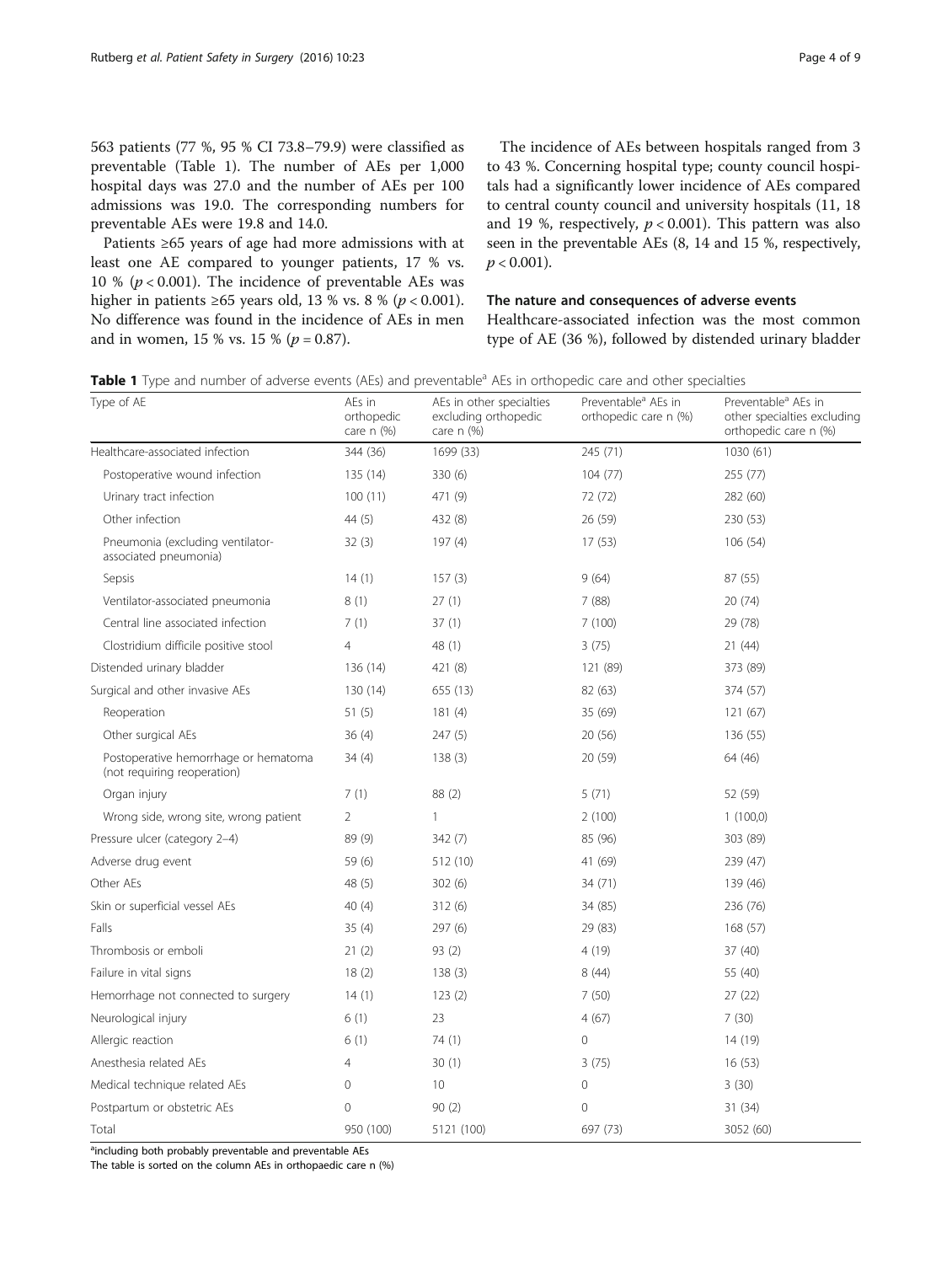<span id="page-3-0"></span>563 patients (77 %, 95 % CI 73.8–79.9) were classified as preventable (Table 1). The number of AEs per 1,000 hospital days was 27.0 and the number of AEs per 100 admissions was 19.0. The corresponding numbers for preventable AEs were 19.8 and 14.0.

Patients ≥65 years of age had more admissions with at least one AE compared to younger patients, 17 % vs. 10 % ( $p < 0.001$ ). The incidence of preventable AEs was higher in patients ≥65 years old, 13 % vs. 8 % ( $p < 0.001$ ). No difference was found in the incidence of AEs in men and in women, 15 % vs. 15 % ( $p = 0.87$ ).

The incidence of AEs between hospitals ranged from 3 to 43 %. Concerning hospital type; county council hospitals had a significantly lower incidence of AEs compared to central county council and university hospitals (11, 18 and 19 %, respectively,  $p < 0.001$ ). This pattern was also seen in the preventable AEs (8, 14 and 15 %, respectively,  $p < 0.001$ ).

#### The nature and consequences of adverse events

Healthcare-associated infection was the most common type of AE (36 %), followed by distended urinary bladder

| Table 1 Type and number of adverse events (AEs) and preventable <sup>a</sup> AEs in orthopedic care and other specialties |  |  |  |  |  |  |  |  |  |  |
|---------------------------------------------------------------------------------------------------------------------------|--|--|--|--|--|--|--|--|--|--|
|---------------------------------------------------------------------------------------------------------------------------|--|--|--|--|--|--|--|--|--|--|

| Type of AE                                                          | AEs in<br>orthopedic<br>care $n$ $(\%)$ | AEs in other specialties<br>excluding orthopedic<br>care $n$ $(\%)$ | Preventable <sup>a</sup> AEs in<br>orthopedic care n (%) | Preventable <sup>a</sup> AEs in<br>other specialties excluding<br>orthopedic care n (%) |
|---------------------------------------------------------------------|-----------------------------------------|---------------------------------------------------------------------|----------------------------------------------------------|-----------------------------------------------------------------------------------------|
| Healthcare-associated infection                                     | 344 (36)                                | 1699 (33)                                                           | 245 (71)                                                 | 1030 (61)                                                                               |
| Postoperative wound infection                                       | 135 (14)                                | 330 (6)                                                             | 104(77)                                                  | 255 (77)                                                                                |
| Urinary tract infection                                             | 100(11)                                 | 471 (9)                                                             | 72 (72)                                                  | 282 (60)                                                                                |
| Other infection                                                     | 44 (5)                                  | 432 (8)                                                             | 26(59)                                                   | 230 (53)                                                                                |
| Pneumonia (excluding ventilator-<br>associated pneumonia)           | 32(3)                                   | 197(4)                                                              | 17(53)                                                   | 106 (54)                                                                                |
| Sepsis                                                              | 14(1)                                   | 157(3)                                                              | 9(64)                                                    | 87 (55)                                                                                 |
| Ventilator-associated pneumonia                                     | 8(1)                                    | 27(1)                                                               | 7(88)                                                    | 20 (74)                                                                                 |
| Central line associated infection                                   | 7(1)                                    | 37(1)                                                               | 7(100)                                                   | 29 (78)                                                                                 |
| Clostridium difficile positive stool                                | 4                                       | 48 (1)                                                              | 3(75)                                                    | 21 (44)                                                                                 |
| Distended urinary bladder                                           | 136 (14)                                | 421 (8)                                                             | 121 (89)                                                 | 373 (89)                                                                                |
| Surgical and other invasive AEs                                     | 130 (14)                                | 655 (13)                                                            | 82 (63)                                                  | 374 (57)                                                                                |
| Reoperation                                                         | 51(5)                                   | 181(4)                                                              | 35 (69)                                                  | 121(67)                                                                                 |
| Other surgical AEs                                                  | 36(4)                                   | 247(5)                                                              | 20 (56)                                                  | 136 (55)                                                                                |
| Postoperative hemorrhage or hematoma<br>(not requiring reoperation) | 34(4)                                   | 138(3)                                                              | 20 (59)                                                  | 64 (46)                                                                                 |
| Organ injury                                                        | 7(1)                                    | 88 (2)                                                              | 5(71)                                                    | 52 (59)                                                                                 |
| Wrong side, wrong site, wrong patient                               | $\overline{2}$                          | $\mathbf{1}$                                                        | 2(100)                                                   | 1(100,0)                                                                                |
| Pressure ulcer (category 2-4)                                       | 89 (9)                                  | 342(7)                                                              | 85 (96)                                                  | 303 (89)                                                                                |
| Adverse drug event                                                  | 59(6)                                   | 512 (10)                                                            | 41 (69)                                                  | 239 (47)                                                                                |
| Other AEs                                                           | 48 (5)                                  | 302(6)                                                              | 34 (71)                                                  | 139 (46)                                                                                |
| Skin or superficial vessel AEs                                      | 40(4)                                   | 312(6)                                                              | 34 (85)                                                  | 236 (76)                                                                                |
| Falls                                                               | 35(4)                                   | 297(6)                                                              | 29 (83)                                                  | 168 (57)                                                                                |
| Thrombosis or emboli                                                | 21(2)                                   | 93(2)                                                               | 4(19)                                                    | 37 (40)                                                                                 |
| Failure in vital signs                                              | 18(2)                                   | 138(3)                                                              | 8(44)                                                    | 55 (40)                                                                                 |
| Hemorrhage not connected to surgery                                 | 14(1)                                   | 123(2)                                                              | 7(50)                                                    | 27(22)                                                                                  |
| Neurological injury                                                 | 6(1)                                    | 23                                                                  | 4(67)                                                    | 7(30)                                                                                   |
| Allergic reaction                                                   | 6(1)                                    | 74(1)                                                               | $\mathbf 0$                                              | 14 (19)                                                                                 |
| Anesthesia related AEs                                              | $\overline{4}$                          | 30(1)                                                               | 3(75)                                                    | 16(53)                                                                                  |
| Medical technique related AEs                                       | 0                                       | 10                                                                  | $\mathbf 0$                                              | 3(30)                                                                                   |
| Postpartum or obstetric AEs                                         | $\Omega$                                | 90(2)                                                               | $\mathbf{0}$                                             | 31 (34)                                                                                 |
| Total                                                               | 950 (100)                               | 5121 (100)                                                          | 697 (73)                                                 | 3052 (60)                                                                               |

<sup>a</sup>including both probably preventable and preventable AEs

The table is sorted on the column AEs in orthopaedic care n (%)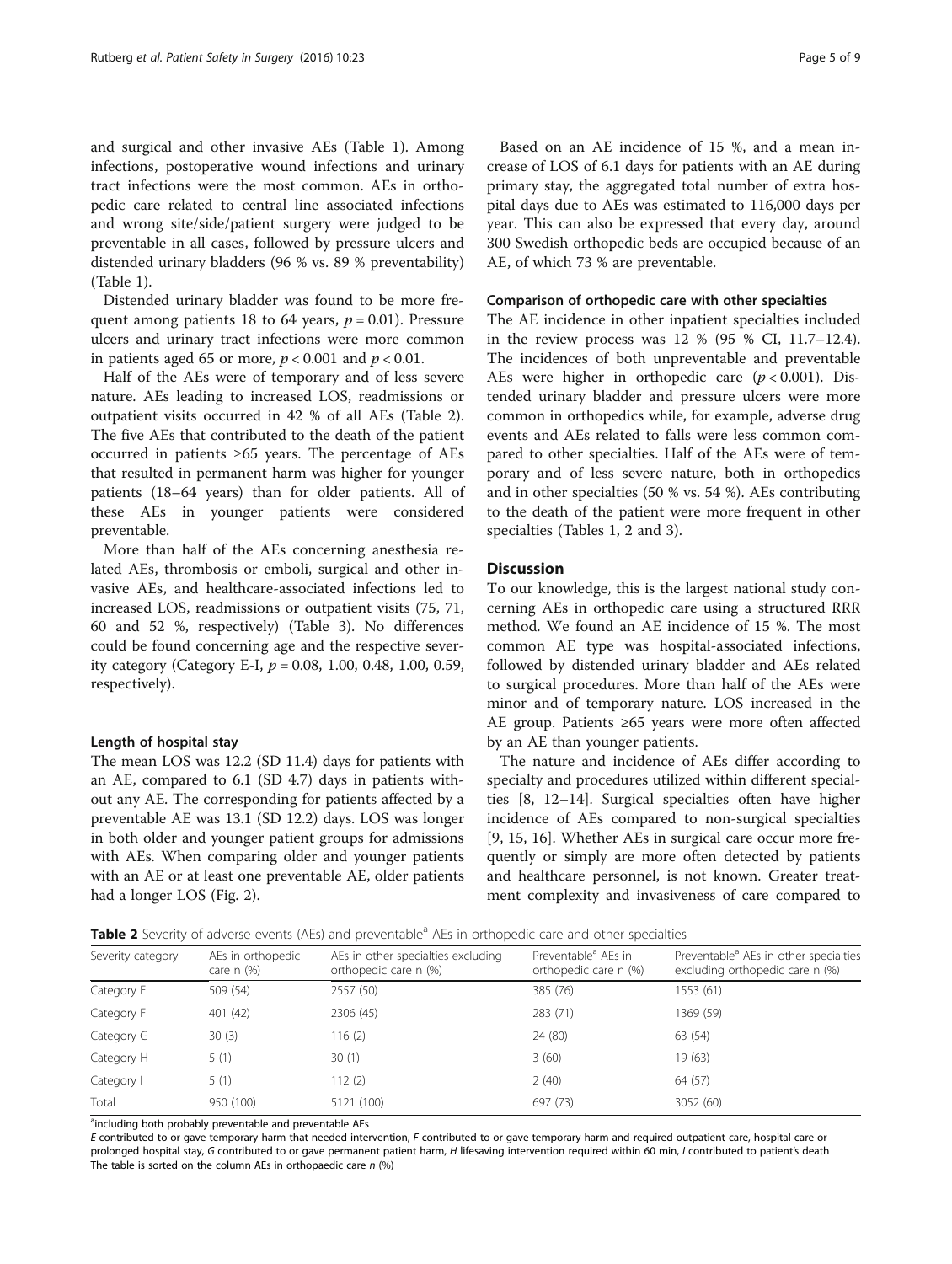and surgical and other invasive AEs (Table [1](#page-3-0)). Among infections, postoperative wound infections and urinary tract infections were the most common. AEs in orthopedic care related to central line associated infections and wrong site/side/patient surgery were judged to be preventable in all cases, followed by pressure ulcers and distended urinary bladders (96 % vs. 89 % preventability) (Table [1\)](#page-3-0).

Distended urinary bladder was found to be more frequent among patients 18 to 64 years,  $p = 0.01$ ). Pressure ulcers and urinary tract infections were more common in patients aged 65 or more,  $p < 0.001$  and  $p < 0.01$ .

Half of the AEs were of temporary and of less severe nature. AEs leading to increased LOS, readmissions or outpatient visits occurred in 42 % of all AEs (Table 2). The five AEs that contributed to the death of the patient occurred in patients ≥65 years. The percentage of AEs that resulted in permanent harm was higher for younger patients (18–64 years) than for older patients. All of these AEs in younger patients were considered preventable.

More than half of the AEs concerning anesthesia related AEs, thrombosis or emboli, surgical and other invasive AEs, and healthcare-associated infections led to increased LOS, readmissions or outpatient visits (75, 71, 60 and 52 %, respectively) (Table [3\)](#page-5-0). No differences could be found concerning age and the respective severity category (Category E-I,  $p = 0.08$ , 1.00, 0.48, 1.00, 0.59, respectively).

#### Length of hospital stay

The mean LOS was 12.2 (SD 11.4) days for patients with an AE, compared to 6.1 (SD 4.7) days in patients without any AE. The corresponding for patients affected by a preventable AE was 13.1 (SD 12.2) days. LOS was longer in both older and younger patient groups for admissions with AEs. When comparing older and younger patients with an AE or at least one preventable AE, older patients had a longer LOS (Fig. [2](#page-6-0)).

Based on an AE incidence of 15 %, and a mean increase of LOS of 6.1 days for patients with an AE during primary stay, the aggregated total number of extra hospital days due to AEs was estimated to 116,000 days per year. This can also be expressed that every day, around 300 Swedish orthopedic beds are occupied because of an AE, of which 73 % are preventable.

#### Comparison of orthopedic care with other specialties

The AE incidence in other inpatient specialties included in the review process was 12 % (95 % CI, 11.7–12.4). The incidences of both unpreventable and preventable AEs were higher in orthopedic care  $(p < 0.001)$ . Distended urinary bladder and pressure ulcers were more common in orthopedics while, for example, adverse drug events and AEs related to falls were less common compared to other specialties. Half of the AEs were of temporary and of less severe nature, both in orthopedics and in other specialties (50 % vs. 54 %). AEs contributing to the death of the patient were more frequent in other specialties (Tables [1,](#page-3-0) 2 and [3\)](#page-5-0).

#### **Discussion**

To our knowledge, this is the largest national study concerning AEs in orthopedic care using a structured RRR method. We found an AE incidence of 15 %. The most common AE type was hospital-associated infections, followed by distended urinary bladder and AEs related to surgical procedures. More than half of the AEs were minor and of temporary nature. LOS increased in the AE group. Patients ≥65 years were more often affected by an AE than younger patients.

The nature and incidence of AEs differ according to specialty and procedures utilized within different specialties [\[8](#page-7-0), [12](#page-7-0)–[14\]](#page-7-0). Surgical specialties often have higher incidence of AEs compared to non-surgical specialties [[9, 15, 16\]](#page-7-0). Whether AEs in surgical care occur more frequently or simply are more often detected by patients and healthcare personnel, is not known. Greater treatment complexity and invasiveness of care compared to

**Table 2** Severity of adverse events (AEs) and preventable<sup>a</sup> AEs in orthopedic care and other specialties

| Severity category | AEs in orthopedic<br>care $n$ $(\%)$ | AEs in other specialties excluding<br>orthopedic care n (%) | Preventable <sup>a</sup> AEs in<br>orthopedic care n (%) | Preventable <sup>a</sup> AEs in other specialties<br>excluding orthopedic care n (%) |
|-------------------|--------------------------------------|-------------------------------------------------------------|----------------------------------------------------------|--------------------------------------------------------------------------------------|
| Category E        | 509 (54)                             | 2557 (50)                                                   | 385 (76)                                                 | 1553 (61)                                                                            |
| Category F        | 401 (42)                             | 2306 (45)                                                   | 283 (71)                                                 | 1369 (59)                                                                            |
| Category G        | 30(3)                                | 116(2)                                                      | 24 (80)                                                  | 63 (54)                                                                              |
| Category H        | 5(1)                                 | 30(1)                                                       | 3(60)                                                    | 19 (63)                                                                              |
| Category I        | 5(1)                                 | 112(2)                                                      | 2(40)                                                    | 64 (57)                                                                              |
| Total             | 950 (100)                            | 5121 (100)                                                  | 697 (73)                                                 | 3052 (60)                                                                            |

<sup>a</sup>including both probably preventable and preventable AEs

E contributed to or gave temporary harm that needed intervention, F contributed to or gave temporary harm and required outpatient care, hospital care or prolonged hospital stay, G contributed to or gave permanent patient harm, H lifesaving intervention required within 60 min, I contributed to patient's death The table is sorted on the column AEs in orthopaedic care  $n$  (%)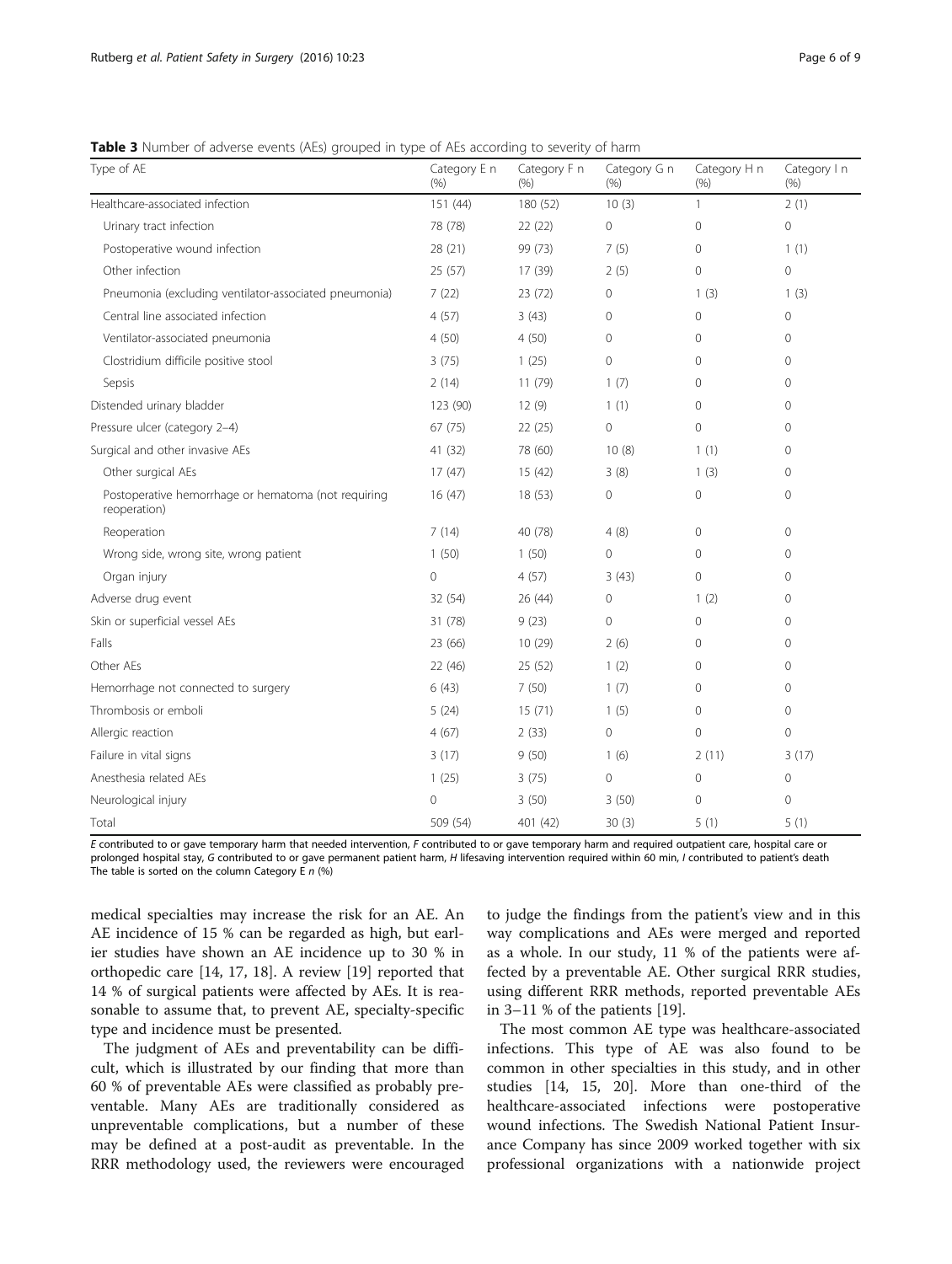<span id="page-5-0"></span>Table 3 Number of adverse events (AEs) grouped in type of AEs according to severity of harm

| Type of AE                                                          | Category E n<br>(96) | Category F n<br>(9/0) | Category G n<br>(9/6) | Category H n<br>(9/6) | Category I n<br>(9/6) |
|---------------------------------------------------------------------|----------------------|-----------------------|-----------------------|-----------------------|-----------------------|
| Healthcare-associated infection                                     | 151(44)              | 180 (52)              | 10(3)                 | $\mathbf{1}$          | 2(1)                  |
| Urinary tract infection                                             | 78 (78)              | 22(22)                | $\circ$               | $\Omega$              | $\overline{0}$        |
| Postoperative wound infection                                       | 28 (21)              | 99 (73)               | 7(5)                  | $\mathbf{0}$          | 1(1)                  |
| Other infection                                                     | 25(57)               | 17 (39)               | 2(5)                  | $\mathbf{0}$          | $\mathbf 0$           |
| Pneumonia (excluding ventilator-associated pneumonia)               | 7(22)                | 23 (72)               | 0                     | 1(3)                  | 1(3)                  |
| Central line associated infection                                   | 4(57)                | 3(43)                 | $\circ$               | $\mathbf{0}$          | $\mathbf{0}$          |
| Ventilator-associated pneumonia                                     | 4(50)                | 4(50)                 | 0                     | $\mathbf{0}$          | $\mathbf{0}$          |
| Clostridium difficile positive stool                                | 3(75)                | 1(25)                 | $\circ$               | $\mathbf{0}$          | $\mathbf{0}$          |
| Sepsis                                                              | 2(14)                | 11(79)                | 1(7)                  | $\circ$               | $\mathbf 0$           |
| Distended urinary bladder                                           | 123 (90)             | 12(9)                 | 1(1)                  | $\circ$               | $\mathbf 0$           |
| Pressure ulcer (category 2-4)                                       | 67 (75)              | 22(25)                | $\mathsf{O}\xspace$   | $\mathbf{0}$          | $\mathbf{0}$          |
| Surgical and other invasive AEs                                     | 41 (32)              | 78 (60)               | 10(8)                 | 1(1)                  | $\Omega$              |
| Other surgical AEs                                                  | 17(47)               | 15(42)                | 3(8)                  | 1(3)                  | $\mathbf 0$           |
| Postoperative hemorrhage or hematoma (not requiring<br>reoperation) | 16(47)               | 18 (53)               | 0                     | $\mathbf 0$           | $\Omega$              |
| Reoperation                                                         | 7(14)                | 40 (78)               | 4(8)                  | $\mathbf{0}$          | $\mathbf{0}$          |
| Wrong side, wrong site, wrong patient                               | 1(50)                | 1(50)                 | $\mathbf 0$           | $\mathbf 0$           | $\mathbf 0$           |
| Organ injury                                                        | $\mathbf{0}$         | 4(57)                 | 3(43)                 | $\Omega$              | $\Omega$              |
| Adverse drug event                                                  | 32 (54)              | 26 (44)               | $\circ$               | 1(2)                  | $\Omega$              |
| Skin or superficial vessel AEs                                      | 31 (78)              | 9(23)                 | $\Omega$              | $\Omega$              | $\Omega$              |
| Falls                                                               | 23 (66)              | 10(29)                | 2(6)                  | $\mathbf{0}$          | $\Omega$              |
| Other AEs                                                           | 22 (46)              | 25 (52)               | 1(2)                  | 0                     | $\mathbf{0}$          |
| Hemorrhage not connected to surgery                                 | 6(43)                | 7(50)                 | 1(7)                  | $\Omega$              | $\mathbf{0}$          |
| Thrombosis or emboli                                                | 5(24)                | 15(71)                | 1(5)                  | $\mathbf{0}$          | $\mathbf{0}$          |
| Allergic reaction                                                   | 4(67)                | 2(33)                 | 0                     | $\mathbf{0}$          | $\mathbf{0}$          |
| Failure in vital signs                                              | 3(17)                | 9(50)                 | 1(6)                  | 2(11)                 | 3(17)                 |
| Anesthesia related AEs                                              | 1(25)                | 3(75)                 | $\circ$               | $\mathbf{0}$          | $\mathbf 0$           |
| Neurological injury                                                 | $\circ$              | 3(50)                 | 3(50)                 | $\Omega$              | $\mathbf 0$           |
| Total                                                               | 509 (54)             | 401 (42)              | 30(3)                 | 5(1)                  | 5(1)                  |

E contributed to or gave temporary harm that needed intervention, F contributed to or gave temporary harm and required outpatient care, hospital care or prolonged hospital stay, G contributed to or gave permanent patient harm, H lifesaving intervention required within 60 min, I contributed to patient's death The table is sorted on the column Category E  $n$  (%)

medical specialties may increase the risk for an AE. An AE incidence of 15 % can be regarded as high, but earlier studies have shown an AE incidence up to 30 % in orthopedic care [[14](#page-7-0), [17, 18](#page-7-0)]. A review [[19\]](#page-7-0) reported that 14 % of surgical patients were affected by AEs. It is reasonable to assume that, to prevent AE, specialty-specific type and incidence must be presented.

The judgment of AEs and preventability can be difficult, which is illustrated by our finding that more than 60 % of preventable AEs were classified as probably preventable. Many AEs are traditionally considered as unpreventable complications, but a number of these may be defined at a post-audit as preventable. In the RRR methodology used, the reviewers were encouraged

to judge the findings from the patient's view and in this way complications and AEs were merged and reported as a whole. In our study, 11 % of the patients were affected by a preventable AE. Other surgical RRR studies, using different RRR methods, reported preventable AEs in 3–11 % of the patients [\[19\]](#page-7-0).

The most common AE type was healthcare-associated infections. This type of AE was also found to be common in other specialties in this study, and in other studies [\[14, 15,](#page-7-0) [20\]](#page-8-0). More than one-third of the healthcare-associated infections were postoperative wound infections. The Swedish National Patient Insurance Company has since 2009 worked together with six professional organizations with a nationwide project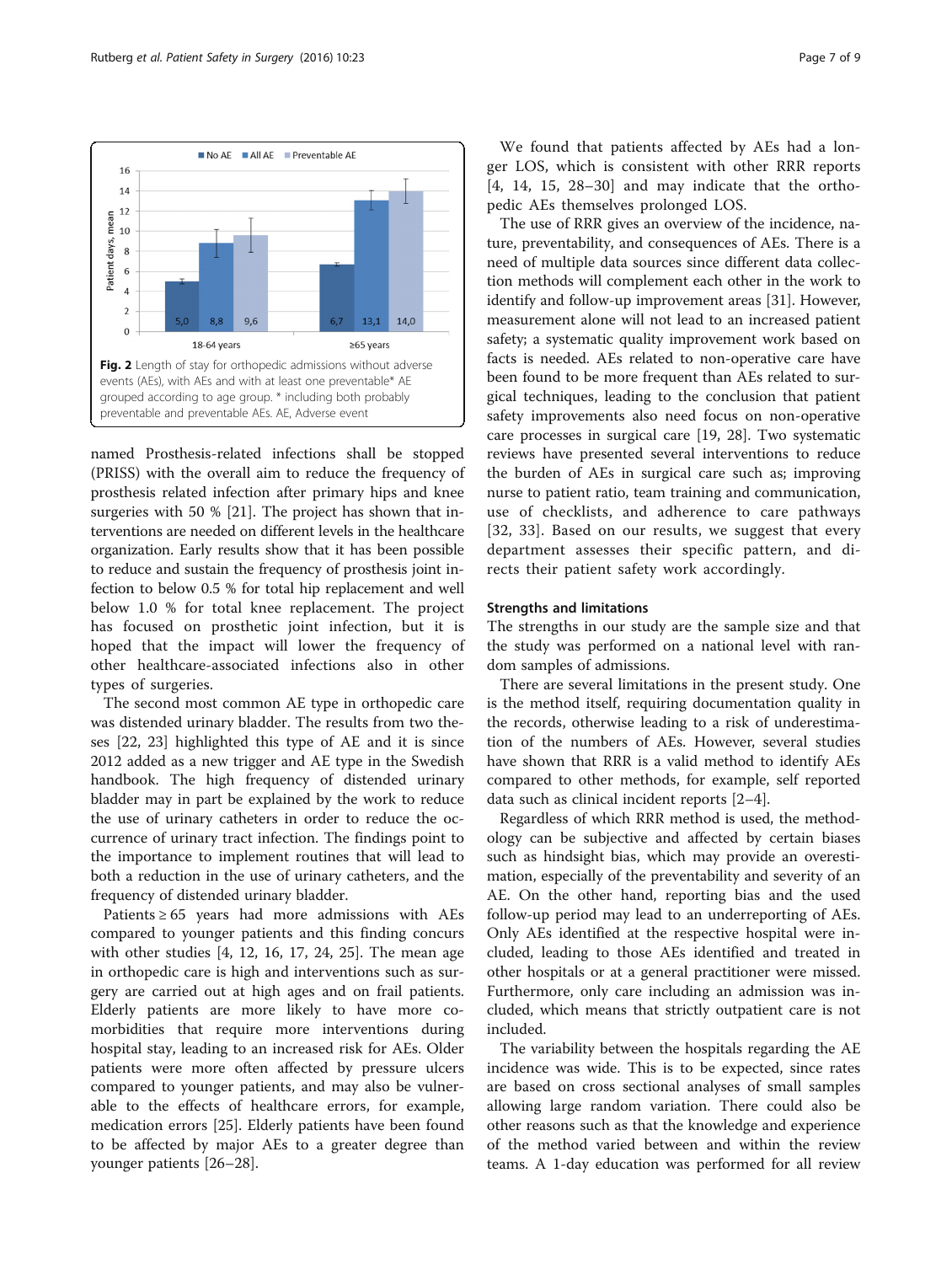<span id="page-6-0"></span>

named Prosthesis-related infections shall be stopped (PRISS) with the overall aim to reduce the frequency of prosthesis related infection after primary hips and knee surgeries with 50 % [\[21\]](#page-8-0). The project has shown that interventions are needed on different levels in the healthcare organization. Early results show that it has been possible to reduce and sustain the frequency of prosthesis joint infection to below 0.5 % for total hip replacement and well below 1.0 % for total knee replacement. The project has focused on prosthetic joint infection, but it is hoped that the impact will lower the frequency of other healthcare-associated infections also in other types of surgeries.

The second most common AE type in orthopedic care was distended urinary bladder. The results from two theses [\[22, 23](#page-8-0)] highlighted this type of AE and it is since 2012 added as a new trigger and AE type in the Swedish handbook. The high frequency of distended urinary bladder may in part be explained by the work to reduce the use of urinary catheters in order to reduce the occurrence of urinary tract infection. The findings point to the importance to implement routines that will lead to both a reduction in the use of urinary catheters, and the frequency of distended urinary bladder.

Patients  $\geq 65$  years had more admissions with AEs compared to younger patients and this finding concurs with other studies [[4, 12](#page-7-0), [16, 17,](#page-7-0) [24](#page-8-0), [25](#page-8-0)]. The mean age in orthopedic care is high and interventions such as surgery are carried out at high ages and on frail patients. Elderly patients are more likely to have more comorbidities that require more interventions during hospital stay, leading to an increased risk for AEs. Older patients were more often affected by pressure ulcers compared to younger patients, and may also be vulnerable to the effects of healthcare errors, for example, medication errors [\[25](#page-8-0)]. Elderly patients have been found to be affected by major AEs to a greater degree than younger patients [[26](#page-8-0)–[28\]](#page-8-0).

We found that patients affected by AEs had a longer LOS, which is consistent with other RRR reports [[4, 14, 15](#page-7-0), [28](#page-8-0)–[30\]](#page-8-0) and may indicate that the orthopedic AEs themselves prolonged LOS.

The use of RRR gives an overview of the incidence, nature, preventability, and consequences of AEs. There is a need of multiple data sources since different data collection methods will complement each other in the work to identify and follow-up improvement areas [[31](#page-8-0)]. However, measurement alone will not lead to an increased patient safety; a systematic quality improvement work based on facts is needed. AEs related to non-operative care have been found to be more frequent than AEs related to surgical techniques, leading to the conclusion that patient safety improvements also need focus on non-operative care processes in surgical care [\[19,](#page-7-0) [28\]](#page-8-0). Two systematic reviews have presented several interventions to reduce the burden of AEs in surgical care such as; improving nurse to patient ratio, team training and communication, use of checklists, and adherence to care pathways [[32](#page-8-0), [33](#page-8-0)]. Based on our results, we suggest that every department assesses their specific pattern, and directs their patient safety work accordingly.

#### Strengths and limitations

The strengths in our study are the sample size and that the study was performed on a national level with random samples of admissions.

There are several limitations in the present study. One is the method itself, requiring documentation quality in the records, otherwise leading to a risk of underestimation of the numbers of AEs. However, several studies have shown that RRR is a valid method to identify AEs compared to other methods, for example, self reported data such as clinical incident reports [\[2](#page-7-0)–[4\]](#page-7-0).

Regardless of which RRR method is used, the methodology can be subjective and affected by certain biases such as hindsight bias, which may provide an overestimation, especially of the preventability and severity of an AE. On the other hand, reporting bias and the used follow-up period may lead to an underreporting of AEs. Only AEs identified at the respective hospital were included, leading to those AEs identified and treated in other hospitals or at a general practitioner were missed. Furthermore, only care including an admission was included, which means that strictly outpatient care is not included.

The variability between the hospitals regarding the AE incidence was wide. This is to be expected, since rates are based on cross sectional analyses of small samples allowing large random variation. There could also be other reasons such as that the knowledge and experience of the method varied between and within the review teams. A 1-day education was performed for all review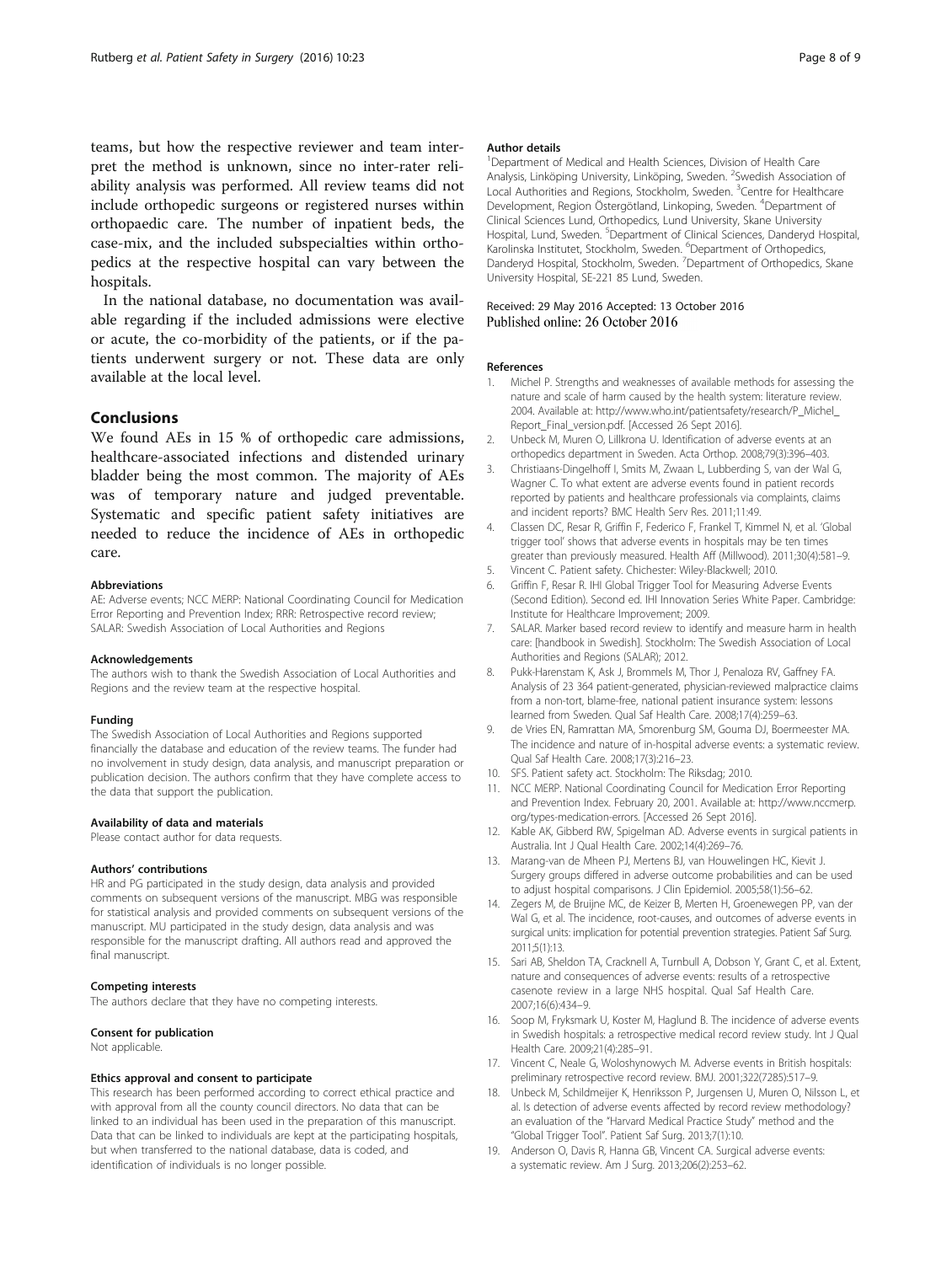<span id="page-7-0"></span>teams, but how the respective reviewer and team interpret the method is unknown, since no inter-rater reliability analysis was performed. All review teams did not include orthopedic surgeons or registered nurses within orthopaedic care. The number of inpatient beds, the case-mix, and the included subspecialties within orthopedics at the respective hospital can vary between the hospitals.

In the national database, no documentation was available regarding if the included admissions were elective or acute, the co-morbidity of the patients, or if the patients underwent surgery or not. These data are only available at the local level.

#### Conclusions

We found AEs in 15 % of orthopedic care admissions, healthcare-associated infections and distended urinary bladder being the most common. The majority of AEs was of temporary nature and judged preventable. Systematic and specific patient safety initiatives are needed to reduce the incidence of AEs in orthopedic care.

#### Abbreviations

AE: Adverse events; NCC MERP: National Coordinating Council for Medication Error Reporting and Prevention Index; RRR: Retrospective record review; SALAR: Swedish Association of Local Authorities and Regions

#### Acknowledgements

The authors wish to thank the Swedish Association of Local Authorities and Regions and the review team at the respective hospital.

#### Funding

The Swedish Association of Local Authorities and Regions supported financially the database and education of the review teams. The funder had no involvement in study design, data analysis, and manuscript preparation or publication decision. The authors confirm that they have complete access to the data that support the publication.

#### Availability of data and materials

Please contact author for data requests.

#### Authors' contributions

HR and PG participated in the study design, data analysis and provided comments on subsequent versions of the manuscript. MBG was responsible for statistical analysis and provided comments on subsequent versions of the manuscript. MU participated in the study design, data analysis and was responsible for the manuscript drafting. All authors read and approved the final manuscript.

#### Competing interests

The authors declare that they have no competing interests.

#### Consent for publication

Not applicable.

#### Ethics approval and consent to participate

This research has been performed according to correct ethical practice and with approval from all the county council directors. No data that can be linked to an individual has been used in the preparation of this manuscript. Data that can be linked to individuals are kept at the participating hospitals, but when transferred to the national database, data is coded, and identification of individuals is no longer possible.

#### Author details

<sup>1</sup>Department of Medical and Health Sciences, Division of Health Care Analysis, Linköping University, Linköping, Sweden. <sup>2</sup>Swedish Association of Local Authorities and Regions, Stockholm, Sweden. <sup>3</sup>Centre for Healthcare Development, Region Östergötland, Linkoping, Sweden. <sup>4</sup>Department of Clinical Sciences Lund, Orthopedics, Lund University, Skane University Hospital, Lund, Sweden. <sup>5</sup>Department of Clinical Sciences, Danderyd Hospital Karolinska Institutet, Stockholm, Sweden. <sup>6</sup>Department of Orthopedics, Danderyd Hospital, Stockholm, Sweden. <sup>7</sup> Department of Orthopedics, Skane University Hospital, SE-221 85 Lund, Sweden.

# Received: 29 May 2016 Accepted: 13 October 2016<br>Published online: 26 October 2016

#### References

- 1. Michel P. Strengths and weaknesses of available methods for assessing the nature and scale of harm caused by the health system: literature review. 2004. Available at: [http://www.who.int/patientsafety/research/P\\_Michel\\_](http://www.who.int/patientsafety/research/P_Michel_Report_Final_version.pdf) [Report\\_Final\\_version.pdf.](http://www.who.int/patientsafety/research/P_Michel_Report_Final_version.pdf) [Accessed 26 Sept 2016].
- 2. Unbeck M, Muren O, Lillkrona U. Identification of adverse events at an orthopedics department in Sweden. Acta Orthop. 2008;79(3):396–403.
- 3. Christiaans-Dingelhoff I, Smits M, Zwaan L, Lubberding S, van der Wal G, Wagner C. To what extent are adverse events found in patient records reported by patients and healthcare professionals via complaints, claims and incident reports? BMC Health Serv Res. 2011;11:49.
- 4. Classen DC, Resar R, Griffin F, Federico F, Frankel T, Kimmel N, et al. 'Global trigger tool' shows that adverse events in hospitals may be ten times greater than previously measured. Health Aff (Millwood). 2011;30(4):581–9.
- 5. Vincent C. Patient safety. Chichester: Wiley-Blackwell; 2010.
- 6. Griffin F, Resar R. IHI Global Trigger Tool for Measuring Adverse Events (Second Edition). Second ed. IHI Innovation Series White Paper. Cambridge: Institute for Healthcare Improvement; 2009.
- 7. SALAR. Marker based record review to identify and measure harm in health care: [handbook in Swedish]. Stockholm: The Swedish Association of Local Authorities and Regions (SALAR); 2012.
- 8. Pukk-Harenstam K, Ask J, Brommels M, Thor J, Penaloza RV, Gaffney FA. Analysis of 23 364 patient-generated, physician-reviewed malpractice claims from a non-tort, blame-free, national patient insurance system: lessons learned from Sweden. Qual Saf Health Care. 2008;17(4):259–63.
- 9. de Vries EN, Ramrattan MA, Smorenburg SM, Gouma DJ, Boermeester MA. The incidence and nature of in-hospital adverse events: a systematic review. Qual Saf Health Care. 2008;17(3):216–23.
- 10. SFS. Patient safety act. Stockholm: The Riksdag; 2010.
- 11. NCC MERP. National Coordinating Council for Medication Error Reporting and Prevention Index. February 20, 2001. Available at: [http://www.nccmerp.](http://www.nccmerp.org/types-medication-errors) [org/types-medication-errors](http://www.nccmerp.org/types-medication-errors). [Accessed 26 Sept 2016].
- 12. Kable AK, Gibberd RW, Spigelman AD. Adverse events in surgical patients in Australia. Int J Qual Health Care. 2002;14(4):269–76.
- 13. Marang-van de Mheen PJ, Mertens BJ, van Houwelingen HC, Kievit J. Surgery groups differed in adverse outcome probabilities and can be used to adjust hospital comparisons. J Clin Epidemiol. 2005;58(1):56–62.
- 14. Zegers M, de Bruijne MC, de Keizer B, Merten H, Groenewegen PP, van der Wal G, et al. The incidence, root-causes, and outcomes of adverse events in surgical units: implication for potential prevention strategies. Patient Saf Surg. 2011;5(1):13.
- 15. Sari AB, Sheldon TA, Cracknell A, Turnbull A, Dobson Y, Grant C, et al. Extent, nature and consequences of adverse events: results of a retrospective casenote review in a large NHS hospital. Qual Saf Health Care. 2007;16(6):434–9.
- 16. Soop M, Fryksmark U, Koster M, Haglund B. The incidence of adverse events in Swedish hospitals: a retrospective medical record review study. Int J Qual Health Care. 2009;21(4):285–91.
- 17. Vincent C, Neale G, Woloshynowych M. Adverse events in British hospitals: preliminary retrospective record review. BMJ. 2001;322(7285):517–9.
- 18. Unbeck M, Schildmeijer K, Henriksson P, Jurgensen U, Muren O, Nilsson L, et al. Is detection of adverse events affected by record review methodology? an evaluation of the "Harvard Medical Practice Study" method and the "Global Trigger Tool". Patient Saf Surg. 2013;7(1):10.
- 19. Anderson O, Davis R, Hanna GB, Vincent CA. Surgical adverse events: a systematic review. Am J Surg. 2013;206(2):253–62.